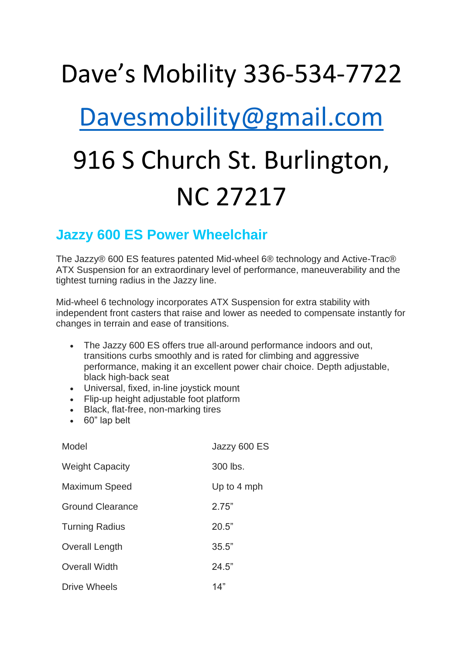## Dave's Mobility 336-534-7722

## [Davesmobility@gmail.com](mailto:Davesmobility@gmail.com)

## 916 S Church St. Burlington, NC 27217

## **Jazzy 600 ES Power Wheelchair**

The Jazzy® 600 ES features patented Mid-wheel 6® technology and Active-Trac® ATX Suspension for an extraordinary level of performance, maneuverability and the tightest turning radius in the Jazzy line.

Mid-wheel 6 technology incorporates ATX Suspension for extra stability with independent front casters that raise and lower as needed to compensate instantly for changes in terrain and ease of transitions.

- The Jazzy 600 ES offers true all-around performance indoors and out, transitions curbs smoothly and is rated for climbing and aggressive performance, making it an excellent power chair choice. Depth adjustable, black high-back seat
- Universal, fixed, in-line joystick mount
- Flip-up height adjustable foot platform
- Black, flat-free, non-marking tires
- 60" lap belt

| Model                   | Jazzy 600 ES |
|-------------------------|--------------|
| <b>Weight Capacity</b>  | 300 lbs.     |
| <b>Maximum Speed</b>    | Up to 4 mph  |
| <b>Ground Clearance</b> | 2.75"        |
| <b>Turning Radius</b>   | 20.5"        |
| Overall Length          | 35.5"        |
| <b>Overall Width</b>    | 24.5"        |
| Drive Wheels            | 14"          |